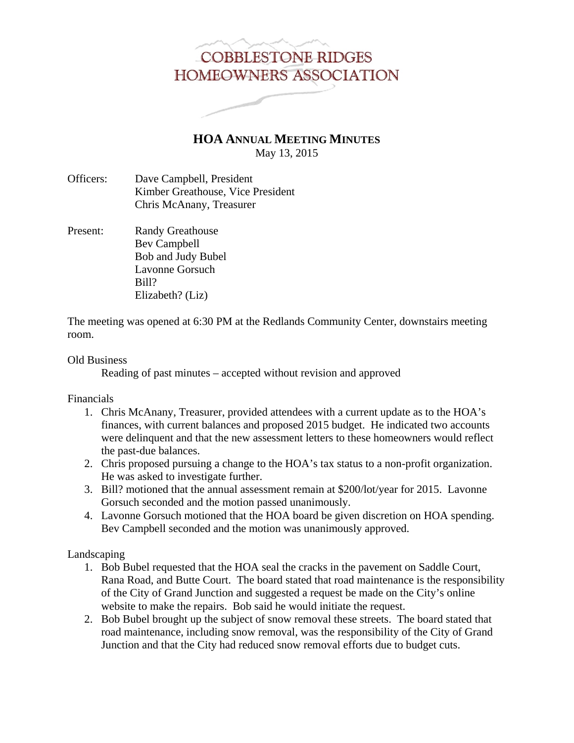## **COBBLESTONE RIDGES** HOMEOWNERS ASSOCIATION

**HOA ANNUAL MEETING MINUTES** May 13, 2015

- Officers: Dave Campbell, President Kimber Greathouse, Vice President Chris McAnany, Treasurer
- Present: Randy Greathouse Bev Campbell Bob and Judy Bubel Lavonne Gorsuch Bill? Elizabeth? (Liz)

The meeting was opened at 6:30 PM at the Redlands Community Center, downstairs meeting room.

## Old Business

Reading of past minutes – accepted without revision and approved

Financials

- 1. Chris McAnany, Treasurer, provided attendees with a current update as to the HOA's finances, with current balances and proposed 2015 budget. He indicated two accounts were delinquent and that the new assessment letters to these homeowners would reflect the past-due balances.
- 2. Chris proposed pursuing a change to the HOA's tax status to a non-profit organization. He was asked to investigate further.
- 3. Bill? motioned that the annual assessment remain at \$200/lot/year for 2015. Lavonne Gorsuch seconded and the motion passed unanimously.
- 4. Lavonne Gorsuch motioned that the HOA board be given discretion on HOA spending. Bev Campbell seconded and the motion was unanimously approved.

Landscaping

- 1. Bob Bubel requested that the HOA seal the cracks in the pavement on Saddle Court, Rana Road, and Butte Court. The board stated that road maintenance is the responsibility of the City of Grand Junction and suggested a request be made on the City's online website to make the repairs. Bob said he would initiate the request.
- 2. Bob Bubel brought up the subject of snow removal these streets. The board stated that road maintenance, including snow removal, was the responsibility of the City of Grand Junction and that the City had reduced snow removal efforts due to budget cuts.